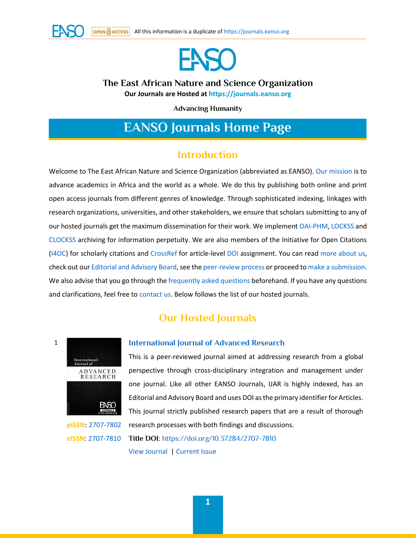



# **The East African Nature and Science Organization**

**Our Journals are Hosted at [https://journals.eanso.org](https://journals.eanso.org/)**

**Advancing Humanity**

# **EANSO Journals Home Page**

# **Introduction**

Welcome to The East African Nature and Science Organization (abbreviated as EANSO). [Our mission](https://journals.eanso.org/index.php/index/about-journals#h85sk6jhqrr6q7qcia1lfbi567bczlu) is to advance academics in Africa and the world as a whole. We do this by publishing both online and print open access journals from different genres of knowledge. Through sophisticated indexing, linkages with research organizations, universities, and other stakeholders, we ensure that scholars submitting to any of our hosted journals get the maximum dissemination for their work. We implemen[t OAI-PHM,](https://www.openarchives.org/pmh/) [LOCKSS](https://www.lockss.org/) and [CLOCKSS](https://www.clockss.org/) archiving for information perpetuity. We are also members of the Initiative for Open Citations [\(I4OC\)](https://www.i4oc.org/) for scholarly citations and [CrossRef](https://www.crossref.org/) for article-level [DOI](https://www.doi.org/) assignment. You can rea[d more about us,](https://journals.eanso.org/index.php/index/about-journals) check out ou[r Editorial and Advisory Board,](https://journals.eanso.org/index.php/index/editorial-board) see th[e peer-review process](https://journals.eanso.org/index.php/index/peer-review-process) or proceed t[o make a submission.](https://journals.eanso.org/index.php/index/make-a-submission) We also advise that you go through the [frequently asked questions](https://journals.eanso.org/index.php/index/faq) beforehand. If you have any questions and clarifications, feel free to [contact us.](https://journals.eanso.org/index.php/index/contact-us) Below follows the list of our hosted journals.

# **Our Hosted Journals**



1

**pISSN**: [2707-7802](https://portal.issn.org/resource/ISSN/2707-7802) **eISSN**: [2707-7810](https://portal.issn.org/resource/ISSN/2707-7810)

#### **[International Journal of Advanced Research](https://journals.eanso.org/index.php/ijar)**

This is a peer-reviewed journal aimed at addressing research from a global perspective through cross-disciplinary integration and management under one journal. Like all other EANSO Journals, IJAR is highly indexed, has an Editorial and Advisory Board and uses DOI as the primary identifier for Articles. This journal strictly published research papers that are a result of thorough research processes with both findings and discussions. **Title DOI**[: https://doi.org/10.37284/2707-7810](https://doi.org/10.37284/2707-7810)

[View Journal](https://journals.eanso.org/index.php/ijar) | [Current Issue](https://journals.eanso.org/index.php/ijar/issue/current)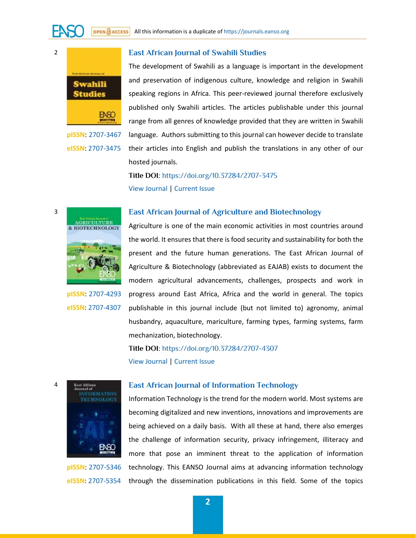**[East African Journal of Swahili Studies](https://journals.eanso.org/index.php/eajss)** 



2

3

4

**pISSN**: [2707-3467](https://portal.issn.org/resource/ISSN/2707-3467) **eISSN**: [2707-3475](https://portal.issn.org/resource/ISSN/2707-3475)

The development of Swahili as a language is important in the development and preservation of indigenous culture, knowledge and religion in Swahili speaking regions in Africa. This peer-reviewed journal therefore exclusively published only Swahili articles. The articles publishable under this journal range from all genres of knowledge provided that they are written in Swahili language. Authors submitting to this journal can however decide to translate their articles into English and publish the translations in any other of our hosted journals.

**Title DOI**[: https://doi.org/10.37284/2707-3475](https://doi.org/10.37284/2707-3475) [View Journal |](https://journals.eanso.org/index.php/eajss) [Current Issue](https://journals.eanso.org/index.php/eajss/issue/current) 

# **[East African Journal of Agriculture and Biotechnology](https://journals.eanso.org/index.php/eajab)**



**pISSN**: [2707-4293](https://portal.issn.org/resource/ISSN/2707-4293) **eISSN**: [2707-4307](https://portal.issn.org/resource/ISSN/2707-4307)

Agriculture is one of the main economic activities in most countries around the world. It ensures that there is food security and sustainability for both the present and the future human generations. The East African Journal of Agriculture & Biotechnology (abbreviated as EAJAB) exists to document the modern agricultural advancements, challenges, prospects and work in progress around East Africa, Africa and the world in general. The topics publishable in this journal include (but not limited to) agronomy, animal husbandry, aquaculture, mariculture, farming types, farming systems, farm mechanization, biotechnology.

**Title DOI**[: https://doi.org/10.37284/2707-4307](https://doi.org/10.37284/2707-4307) [View Journal |](https://journals.eanso.org/index.php/eajab) [Current Issue](https://journals.eanso.org/index.php/eajab/issue/current) 



**pISSN**: [2707-5346](https://portal.issn.org/resource/ISSN/2707-5346) **eISSN**: [2707-5354](https://portal.issn.org/resource/ISSN/2707-5354)

#### **[East African Journal of Information Technology](https://journals.eanso.org/index.php/eajit)**

Information Technology is the trend for the modern world. Most systems are becoming digitalized and new inventions, innovations and improvements are being achieved on a daily basis. With all these at hand, there also emerges the challenge of information security, privacy infringement, illiteracy and more that pose an imminent threat to the application of information technology. This EANSO Journal aims at advancing information technology through the dissemination publications in this field. Some of the topics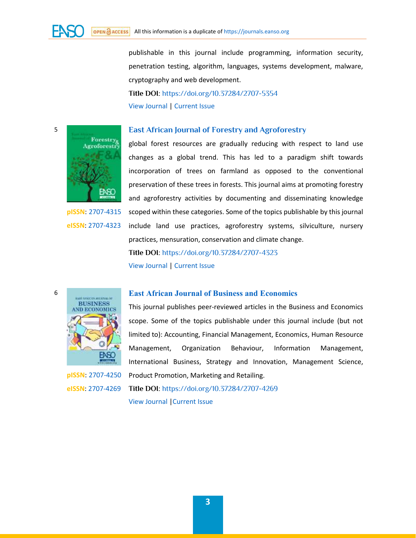publishable in this journal include programming, information security, penetration testing, algorithm, languages, systems development, malware, cryptography and web development. **Title DOI**[: https://doi.org/10.37284/2707-5354](https://doi.org/10.37284/2707-5354) [View Journal |](https://journals.eanso.org/index.php/eajit) [Current Issue](https://journals.eanso.org/index.php/eajit/issue/current) 

# **[East African Journal of Forestry and Agroforestry](https://journals.eanso.org/index.php/eajfa)**



**pISSN**: [2707-4315](https://portal.issn.org/resource/ISSN/2707-4315) **eISSN**: [2707-4323](https://portal.issn.org/resource/ISSN/2707-4323)

5

6

global forest resources are gradually reducing with respect to land use changes as a global trend. This has led to a paradigm shift towards incorporation of trees on farmland as opposed to the conventional preservation of these trees in forests. This journal aims at promoting forestry and agroforestry activities by documenting and disseminating knowledge scoped within these categories. Some of the topics publishable by this journal include land use practices, agroforestry systems, silviculture, nursery practices, mensuration, conservation and climate change.

**Title DOI**[: https://doi.org/10.37284/2707-4323](https://doi.org/10.37284/2707-4323)

[View Journal |](https://journals.eanso.org/index.php/eajfa) [Current Issue](https://journals.eanso.org/index.php/eajfa/issue/current) 

# **[East African Journal of Business and Economics](https://journals.eanso.org/index.php/eajbe)**



**pISSN**: [2707-4250](https://portal.issn.org/resource/ISSN/2707-4250) **eISSN**: [2707-4269](https://portal.issn.org/resource/ISSN/2707-4269)

This journal publishes peer-reviewed articles in the Business and Economics scope. Some of the topics publishable under this journal include (but not limited to): Accounting, Financial Management, Economics, Human Resource Management, Organization Behaviour, Information Management, International Business, Strategy and Innovation, Management Science, Product Promotion, Marketing and Retailing. **Title DOI**[: https://doi.org/10.37284/2707-4269](https://doi.org/10.37284/2707-4269)

[View Journal](https://journals.eanso.org/index.php/eajbe) [|Current Issue](https://journals.eanso.org/index.php/eajbe/issue/current)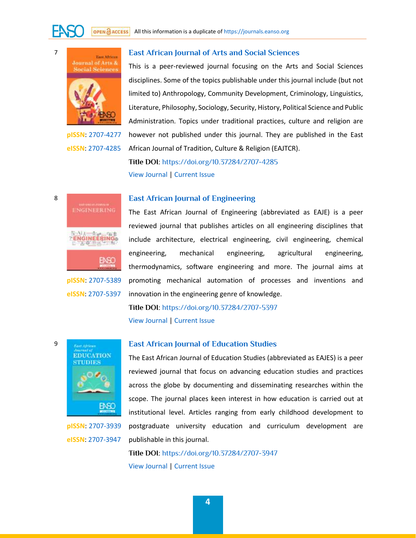



**pISSN**: [2707-4277](https://portal.issn.org/resource/ISSN/2707-4277) **eISSN**: [2707-4285](https://portal.issn.org/resource/ISSN/2707-4285)

#### **[East African Journal of Arts and Social Sciences](https://journals.eanso.org/index.php/eajass)**

This is a peer-reviewed journal focusing on the Arts and Social Sciences disciplines. Some of the topics publishable under this journal include (but not limited to) Anthropology, Community Development, Criminology, Linguistics, Literature, Philosophy, Sociology, Security, History, Political Science and Public Administration. Topics under traditional practices, culture and religion are however not published under this journal. They are published in the East African Journal of Tradition, Culture & Religion (EAJTCR).

**Title DOI**[: https://doi.org/10.37284/2707-4285](https://doi.org/10.37284/2707-4285) [View Journal |](https://journals.eanso.org/index.php/eajass) [Current Issue](https://journals.eanso.org/index.php/eajass/issue/current) 

# **[East African Journal of Engineering](https://journals.eanso.org/index.php/eaje)**



**pISSN**: [2707-5389](https://portal.issn.org/resource/ISSN/2707-5389) **eISSN**: [2707-5397](https://portal.issn.org/resource/ISSN/2707-5397)

The East African Journal of Engineering (abbreviated as EAJE) is a peer reviewed journal that publishes articles on all engineering disciplines that include architecture, electrical engineering, civil engineering, chemical engineering, mechanical engineering, agricultural engineering, thermodynamics, software engineering and more. The journal aims at promoting mechanical automation of processes and inventions and innovation in the engineering genre of knowledge.

**Title DOI**[: https://doi.org/10.37284/2707-5397](https://doi.org/10.37284/2707-5397) [View Journal |](https://journals.eanso.org/index.php/eaje) [Current Issue](https://journals.eanso.org/index.php/eaje/issue/current) 



**pISSN**: [2707-3939](https://portal.issn.org/resource/ISSN/2707-3939) **eISSN**: [2707-3947](https://portal.issn.org/resource/ISSN/2707-3947)

#### **[East African Journal of Education Studies](https://journals.eanso.org/index.php/eajes)**

The East African Journal of Education Studies (abbreviated as EAJES) is a peer reviewed journal that focus on advancing education studies and practices across the globe by documenting and disseminating researches within the scope. The journal places keen interest in how education is carried out at institutional level. Articles ranging from early childhood development to postgraduate university education and curriculum development are publishable in this journal.

**Title DOI**[: https://doi.org/10.37284/2707-3947](https://doi.org/10.37284/2707-3947) [View Journal |](https://journals.eanso.org/index.php/eajes) [Current Issue](https://journals.eanso.org/index.php/eajes/issue/current) 

9

8

7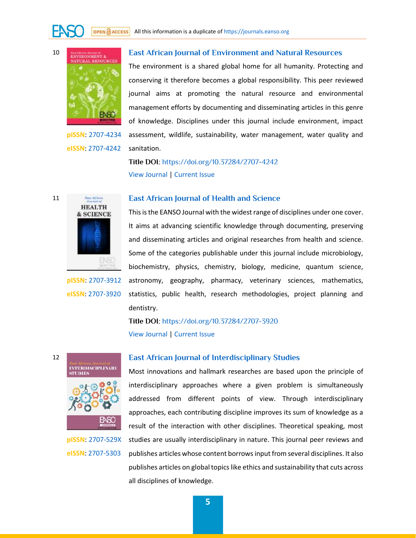

10

11

12

**pISSN**: [2707-4234](https://portal.issn.org/resource/ISSN/2707-4234) **eISSN**: [2707-4242](https://portal.issn.org/resource/ISSN/2707-4242)

## **[East African Journal of Environment and Natural Resources](https://journals.eanso.org/index.php/eajenr)**

The environment is a shared global home for all humanity. Protecting and conserving it therefore becomes a global responsibility. This peer reviewed journal aims at promoting the natural resource and environmental management efforts by documenting and disseminating articles in this genre of knowledge. Disciplines under this journal include environment, impact assessment, wildlife, sustainability, water management, water quality and sanitation.

**Title DOI**[: https://doi.org/10.37284/2707-4242](https://doi.org/10.37284/2707-4242) [View Journal |](https://journals.eanso.org/index.php/eajenr) [Current Issue](https://journals.eanso.org/index.php/eajenr/issue/current) 



**pISSN**: [2707-3912](https://portal.issn.org/resource/ISSN/2707-3912) **eISSN**: [2707-3920](https://portal.issn.org/resource/ISSN/2707-3920)

#### **[East African Journal of Health and Science](https://journals.eanso.org/index.php/eajhs)**

This is the EANSO Journal with the widest range of disciplines under one cover. It aims at advancing scientific knowledge through documenting, preserving and disseminating articles and original researches from health and science. Some of the categories publishable under this journal include microbiology, biochemistry, physics, chemistry, biology, medicine, quantum science, astronomy, geography, pharmacy, veterinary sciences, mathematics, statistics, public health, research methodologies, project planning and dentistry.

**Title DOI**[: https://doi.org/10.37284/2707-3920](https://doi.org/10.37284/2707-3920) [View Journal |](https://journals.eanso.org/index.php/eajhs) [Current Issue](https://journals.eanso.org/index.php/eajhs/issue/current) 



**pISSN**: [2707-529X](https://portal.issn.org/resource/ISSN/2707-529X) **eISSN**: [2707-5303](https://portal.issn.org/resource/ISSN/2707-5303)

## **[East African Journal of Interdisciplinary Studies](https://journals.eanso.org/index.php/eajis)**

Most innovations and hallmark researches are based upon the principle of interdisciplinary approaches where a given problem is simultaneously addressed from different points of view. Through interdisciplinary approaches, each contributing discipline improves its sum of knowledge as a result of the interaction with other disciplines. Theoretical speaking, most studies are usually interdisciplinary in nature. This journal peer reviews and publishes articles whose content borrows input from several disciplines. It also publishes articles on global topics like ethics and sustainability that cuts across all disciplines of knowledge.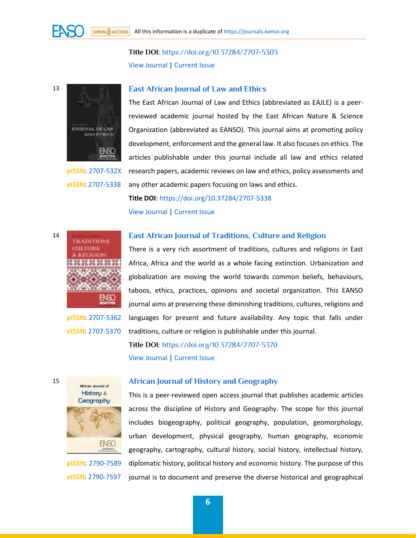**Title DOI**[: https://doi.org/10.37284/2707-5303](https://doi.org/10.37284/2707-5303) [View Journal |](https://journals.eanso.org/index.php/eajis) [Current Issue](https://journals.eanso.org/index.php/eajis/issue/current) 

13

14

15



**pISSN**: [2707-532X](https://portal.issn.org/resource/ISSN/2707-532X) **eISSN**: [2707-5338](https://portal.issn.org/resource/ISSN/2707-5338)

> **TRADITIONS CULTURE E RELIGIO**

# **[East African Journal of Law and Ethics](https://journals.eanso.org/index.php/eajle)**

The East African Journal of Law and Ethics (abbreviated as EAJLE) is a peerreviewed academic journal hosted by the East African Nature & Science Organization (abbreviated as EANSO). This journal aims at promoting policy development, enforcement and the general law. It also focuses on ethics. The articles publishable under this journal include all law and ethics related research papers, academic reviews on law and ethics, policy assessments and any other academic papers focusing on laws and ethics.

**Title DOI**:<https://doi.org/10.37284/2707-5338> [View Journal |](https://journals.eanso.org/index.php/eajle) [Current Issue](https://journals.eanso.org/index.php/eajle/issue/current) 

# **[East African Journal of Traditions, Culture and Religion](https://journals.eanso.org/index.php/eajtcr)**

There is a very rich assortment of traditions, cultures and religions in East Africa, Africa and the world as a whole facing extinction. Urbanization and globalization are moving the world towards common beliefs, behaviours, taboos, ethics, practices, opinions and societal organization. This EANSO journal aims at preserving these diminishing traditions, cultures, religions and languages for present and future availability. Any topic that falls under traditions, culture or religion is publishable under this journal.

**Title DOI**[: https://doi.org/10.37284/2707-5370](https://doi.org/10.37284/2707-5370) [View Journal |](https://journals.eanso.org/index.php/eajtcr) [Current Issue](https://journals.eanso.org/index.php/eajtcr/issue/current) 



**pISSN**: [2707-5362](https://portal.issn.org/resource/ISSN/2707-5362) **eISSN**: [2707-5370](https://portal.issn.org/resource/ISSN/2707-5370)

**pISSN**: [2790-7589](https://portal.issn.org/resource/ISSN/2790-7589) **eISSN**: [2790-7597](https://portal.issn.org/resource/ISSN/2790-7597) **[African Journal of History and Geography](https://journals.eanso.org/index.php/ajhg)** 

This is a peer-reviewed open access journal that publishes academic articles across the discipline of History and Geography. The scope for this journal includes biogeography, political geography, population, geomorphology, urban development, physical geography, human geography, economic geography, cartography, cultural history, social history, intellectual history, diplomatic history, political history and economic history. The purpose of this journal is to document and preserve the diverse historical and geographical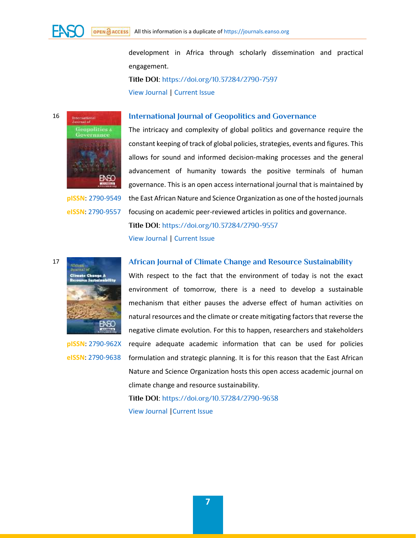development in Africa through scholarly dissemination and practical engagement. **Title DOI**[: https://doi.org/10.37284/2790-7597](https://doi.org/10.37284/2790-7597) [View Journal |](https://journals.eanso.org/index.php/ajhg) [Current Issue](https://journals.eanso.org/index.php/ajhg/issue/current) 



**pISSN**: [2790-9549](https://portal.issn.org/resource/ISSN/2790-9549) **eISSN**: [2790-9557](https://portal.issn.org/resource/ISSN/2790-9557)

#### **[International Journal of Geopolitics and Governance](https://journals.eanso.org/index.php/ijgg)**

The intricacy and complexity of global politics and governance require the constant keeping of track of global policies, strategies, events and figures. This allows for sound and informed decision-making processes and the general advancement of humanity towards the positive terminals of human governance. This is an open access international journal that is maintained by the East African Nature and Science Organization as one of the hosted journals focusing on academic peer-reviewed articles in politics and governance. **Title DOI**[: https://doi.org/10.37284/2790-9557](https://doi.org/10.37284/2790-9557)

[View Journal |](https://journals.eanso.org/index.php/ijgg) [Current Issue](https://journals.eanso.org/index.php/ijgg/issue/current) 

17

**pISSN**: [2790-962X](https://portal.issn.org/resource/ISSN/2790-962X) **eISSN**: [2790-9638](https://portal.issn.org/resource/ISSN/2790-9638)

## **[African Journal of Climate Change and Resource Sustainability](https://journals.eanso.org/index.php/ajccrs)**

With respect to the fact that the environment of today is not the exact environment of tomorrow, there is a need to develop a sustainable mechanism that either pauses the adverse effect of human activities on natural resources and the climate or create mitigating factors that reverse the negative climate evolution. For this to happen, researchers and stakeholders require adequate academic information that can be used for policies formulation and strategic planning. It is for this reason that the East African Nature and Science Organization hosts this open access academic journal on climate change and resource sustainability.

**Title DOI**[: https://doi.org/10.37284/2790-9638](https://doi.org/10.37284/2790-9638) [View Journal](https://journals.eanso.org/index.php/ajccrs) [|Current Issue](https://journals.eanso.org/index.php/ajccrs/issue/current)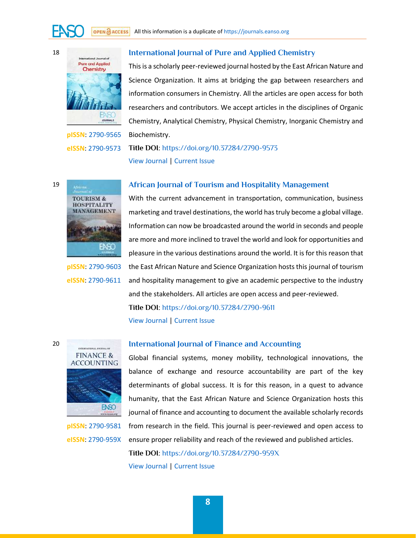

# **[International Journal of Pure and Applied Chemistry](https://journals.eanso.org/index.php/ijpac)**

This is a scholarly peer-reviewed journal hosted by the East African Nature and Science Organization. It aims at bridging the gap between researchers and information consumers in Chemistry. All the articles are open access for both researchers and contributors. We accept articles in the disciplines of Organic Chemistry, Analytical Chemistry, Physical Chemistry, Inorganic Chemistry and Biochemistry.

**pISSN**: [2790-9565](https://portal.issn.org/resource/ISSN/2790-9565) **eISSN**: [2790-9573](https://portal.issn.org/resource/ISSN/2790-9573)

# **Title DOI**[: https://doi.org/10.37284/2790-9573](https://doi.org/10.37284/2790-9573) [View Journal |](https://journals.eanso.org/index.php/ijpac) [Current Issue](https://journals.eanso.org/index.php/ijpac/issue/current)



**pISSN**: [2790-9603](https://portal.issn.org/resource/ISSN/2790-9603) **eISSN**: [2790-9611](https://portal.issn.org/resource/ISSN/2790-9611)

## **[African Journal of Tourism and Hospitality Management](https://journals.eanso.org/index.php/ajthm)**

With the current advancement in transportation, communication, business marketing and travel destinations, the world has truly become a global village. Information can now be broadcasted around the world in seconds and people are more and more inclined to travel the world and look for opportunities and pleasure in the various destinations around the world. It is for this reason that the East African Nature and Science Organization hosts this journal of tourism and hospitality management to give an academic perspective to the industry and the stakeholders. All articles are open access and peer-reviewed. **Title DOI**[: https://doi.org/10.37284/2790-9611](https://doi.org/10.37284/2790-9611)

[View Journal |](https://journals.eanso.org/index.php/ajthm) [Current Issue](https://journals.eanso.org/index.php/ajthm/issue/current) 



**pISSN**: [2790-9581](https://portal.issn.org/resource/ISSN/2790-9581) **eISSN**: [2790-959X](https://portal.issn.org/resource/ISSN/2790-959X)

## **[International Journal of Finance and Accounting](https://journals.eanso.org/index.php/ijfa)**

Global financial systems, money mobility, technological innovations, the balance of exchange and resource accountability are part of the key determinants of global success. It is for this reason, in a quest to advance humanity, that the East African Nature and Science Organization hosts this journal of finance and accounting to document the available scholarly records from research in the field. This journal is peer-reviewed and open access to ensure proper reliability and reach of the reviewed and published articles.

**Title DOI**[: https://doi.org/10.37284/2790-959X](https://doi.org/10.37284/2790-959X)

[View Journal |](https://journals.eanso.org/index.php/ijfa) [Current Issue](https://journals.eanso.org/index.php/ijfa/issue/current) 

19

20

18